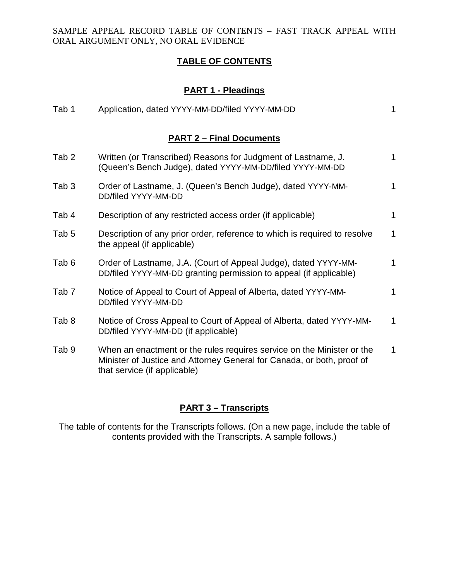### **TABLE OF CONTENTS**

# **PART 1 - Pleadings**

| Tab 1                           | Application, dated YYYY-MM-DD/filed YYYY-MM-DD                                                                                                                                   | 1            |  |  |
|---------------------------------|----------------------------------------------------------------------------------------------------------------------------------------------------------------------------------|--------------|--|--|
| <b>PART 2 - Final Documents</b> |                                                                                                                                                                                  |              |  |  |
| Tab <sub>2</sub>                | Written (or Transcribed) Reasons for Judgment of Lastname, J.<br>(Queen's Bench Judge), dated YYYY-MM-DD/filed YYYY-MM-DD                                                        | $\mathbf{1}$ |  |  |
| Tab <sub>3</sub>                | Order of Lastname, J. (Queen's Bench Judge), dated YYYY-MM-<br>DD/filed YYYY-MM-DD                                                                                               | $\mathbf{1}$ |  |  |
| Tab 4                           | Description of any restricted access order (if applicable)                                                                                                                       | 1            |  |  |
| Tab <sub>5</sub>                | Description of any prior order, reference to which is required to resolve<br>the appeal (if applicable)                                                                          | 1            |  |  |
| Tab <sub>6</sub>                | Order of Lastname, J.A. (Court of Appeal Judge), dated YYYY-MM-<br>DD/filed YYYY-MM-DD granting permission to appeal (if applicable)                                             | 1            |  |  |
| Tab <sub>7</sub>                | Notice of Appeal to Court of Appeal of Alberta, dated YYYY-MM-<br>DD/filed YYYY-MM-DD                                                                                            | 1            |  |  |
| Tab <sub>8</sub>                | Notice of Cross Appeal to Court of Appeal of Alberta, dated YYYY-MM-<br>DD/filed YYYY-MM-DD (if applicable)                                                                      | 1            |  |  |
| Tab 9                           | When an enactment or the rules requires service on the Minister or the<br>Minister of Justice and Attorney General for Canada, or both, proof of<br>that service (if applicable) | 1            |  |  |

## **PART 3 – Transcripts**

The table of contents for the Transcripts follows. (On a new page, include the table of contents provided with the Transcripts. A sample follows.)